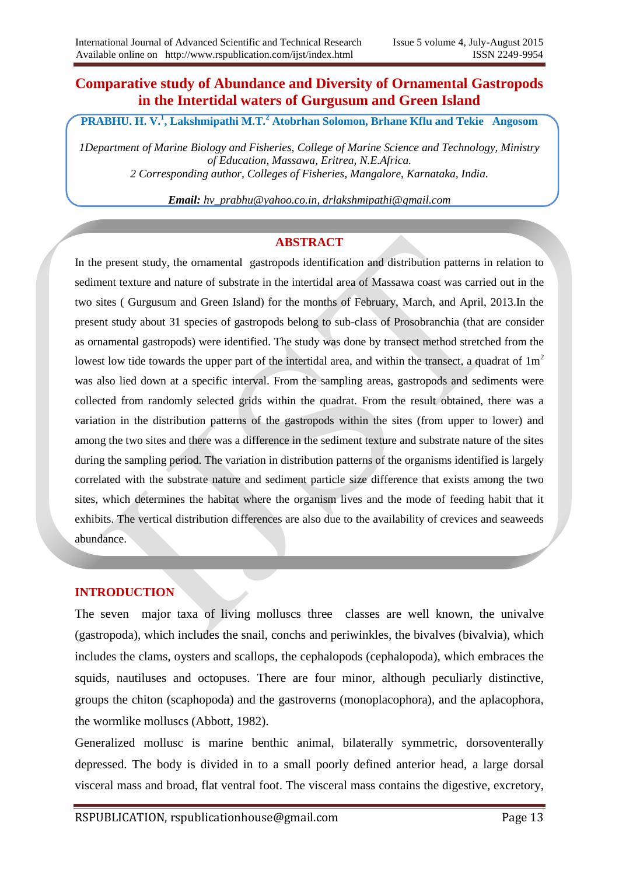## **Comparative study of Abundance and Diversity of Ornamental Gastropods in the Intertidal waters of Gurgusum and Green Island**

**PRABHU. H. V.<sup>1</sup> , Lakshmipathi M.T.<sup>2</sup> Atobrhan Solomon, Brhane Kflu and Tekie Angosom**

*1Department of Marine Biology and Fisheries, College of Marine Science and Technology, Ministry of Education, Massawa, Eritrea, N.E.Africa. 2 Corresponding author, Colleges of Fisheries, Mangalore, Karnataka, India.*

*Email: hv\_prabhu@yahoo.co.in, drlakshmipathi@gmail.com*

## **ABSTRACT**

In the present study, the ornamental gastropods identification and distribution patterns in relation to sediment texture and nature of substrate in the intertidal area of Massawa coast was carried out in the two sites ( Gurgusum and Green Island) for the months of February, March, and April, 2013.In the present study about 31 species of gastropods belong to sub-class of Prosobranchia (that are consider as ornamental gastropods) were identified. The study was done by transect method stretched from the lowest low tide towards the upper part of the intertidal area, and within the transect, a quadrat of  $1m<sup>2</sup>$ was also lied down at a specific interval. From the sampling areas, gastropods and sediments were collected from randomly selected grids within the quadrat. From the result obtained, there was a variation in the distribution patterns of the gastropods within the sites (from upper to lower) and among the two sites and there was a difference in the sediment texture and substrate nature of the sites during the sampling period. The variation in distribution patterns of the organisms identified is largely correlated with the substrate nature and sediment particle size difference that exists among the two sites, which determines the habitat where the organism lives and the mode of feeding habit that it exhibits. The vertical distribution differences are also due to the availability of crevices and seaweeds abundance.

## **INTRODUCTION**

The seven major taxa of living molluscs three classes are well known, the univalve (gastropoda), which includes the snail, conchs and periwinkles, the bivalves (bivalvia), which includes the clams, oysters and scallops, the cephalopods (cephalopoda), which embraces the squids, nautiluses and octopuses. There are four minor, although peculiarly distinctive, groups the chiton (scaphopoda) and the gastroverns (monoplacophora), and the aplacophora, the wormlike molluscs (Abbott, 1982).

Generalized mollusc is marine benthic animal, bilaterally symmetric, dorsoventerally depressed. The body is divided in to a small poorly defined anterior head, a large dorsal visceral mass and broad, flat ventral foot. The visceral mass contains the digestive, excretory,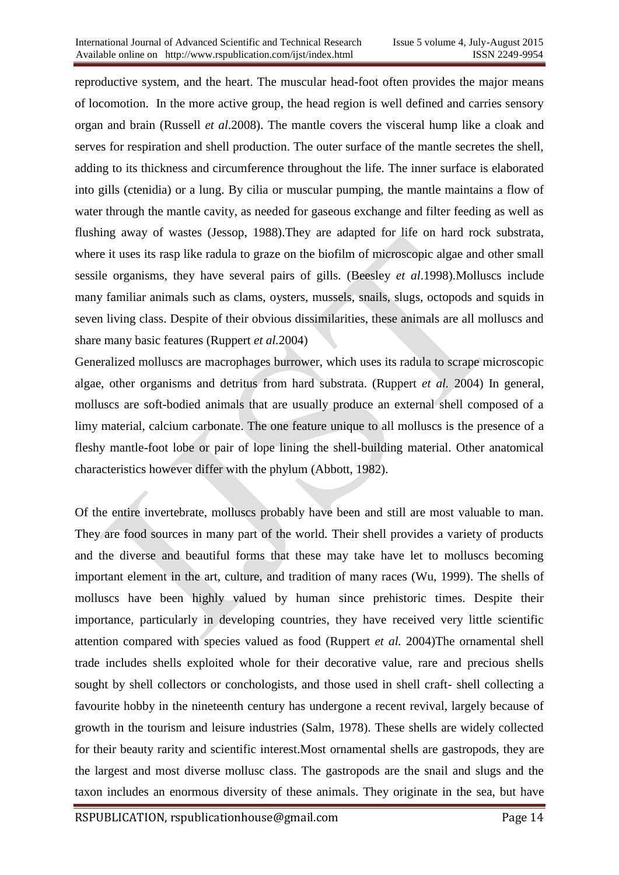reproductive system, and the heart. The muscular head-foot often provides the major means of locomotion. In the more active group, the head region is well defined and carries sensory organ and brain (Russell *et al*.2008). The mantle covers the visceral hump like a cloak and serves for respiration and shell production. The outer surface of the mantle secretes the shell, adding to its thickness and circumference throughout the life. The inner surface is elaborated into gills (ctenidia) or a lung. By cilia or muscular pumping, the mantle maintains a flow of water through the mantle cavity, as needed for gaseous exchange and filter feeding as well as flushing away of wastes (Jessop, 1988).They are adapted for life on hard rock substrata, where it uses its rasp like radula to graze on the biofilm of microscopic algae and other small sessile organisms, they have several pairs of gills. (Beesley *et al*.1998).Molluscs include many familiar animals such as clams, oysters, mussels, snails, slugs, octopods and squids in seven living class. Despite of their obvious dissimilarities, these animals are all molluscs and share many basic features (Ruppert *et al.*2004)

Generalized molluscs are macrophages burrower, which uses its radula to scrape microscopic algae, other organisms and detritus from hard substrata. (Ruppert *et al.* 2004) In general, molluscs are soft-bodied animals that are usually produce an external shell composed of a limy material, calcium carbonate. The one feature unique to all molluscs is the presence of a fleshy mantle-foot lobe or pair of lope lining the shell-building material. Other anatomical characteristics however differ with the phylum (Abbott, 1982).

Of the entire invertebrate, molluscs probably have been and still are most valuable to man. They are food sources in many part of the world. Their shell provides a variety of products and the diverse and beautiful forms that these may take have let to molluscs becoming important element in the art, culture, and tradition of many races (Wu, 1999). The shells of molluscs have been highly valued by human since prehistoric times. Despite their importance, particularly in developing countries, they have received very little scientific attention compared with species valued as food (Ruppert *et al.* 2004)The ornamental shell trade includes shells exploited whole for their decorative value, rare and precious shells sought by shell collectors or conchologists, and those used in shell craft- shell collecting a favourite hobby in the nineteenth century has undergone a recent revival, largely because of growth in the tourism and leisure industries (Salm, 1978). These shells are widely collected for their beauty rarity and scientific interest.Most ornamental shells are gastropods, they are the largest and most diverse mollusc class. The gastropods are the snail and slugs and the taxon includes an enormous diversity of these animals. They originate in the sea, but have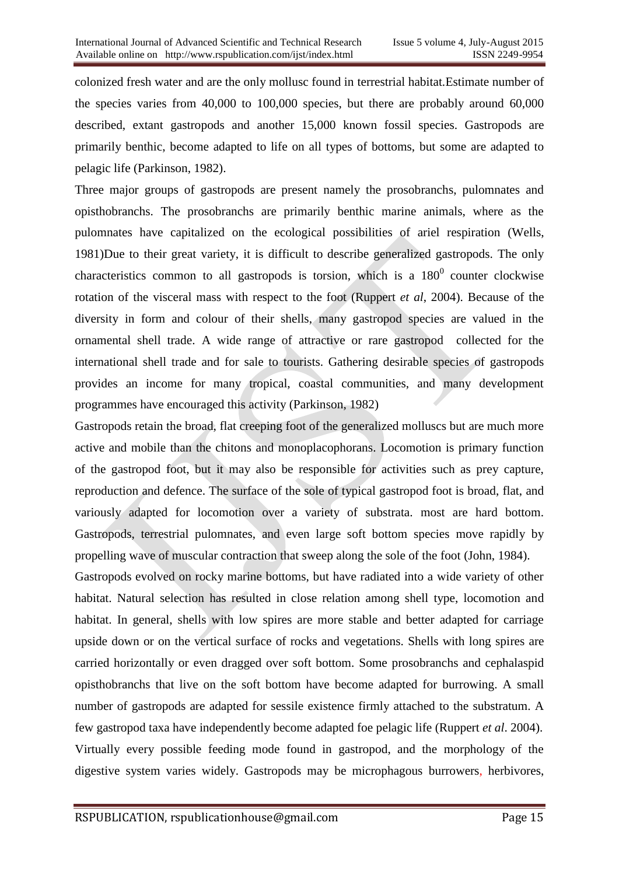colonized fresh water and are the only mollusc found in terrestrial habitat.Estimate number of the species varies from 40,000 to 100,000 species, but there are probably around 60,000 described, extant gastropods and another 15,000 known fossil species. Gastropods are primarily benthic, become adapted to life on all types of bottoms, but some are adapted to pelagic life (Parkinson, 1982).

Three major groups of gastropods are present namely the prosobranchs, pulomnates and opisthobranchs. The prosobranchs are primarily benthic marine animals, where as the pulomnates have capitalized on the ecological possibilities of ariel respiration (Wells, 1981)Due to their great variety, it is difficult to describe generalized gastropods. The only characteristics common to all gastropods is torsion, which is a  $180^{\circ}$  counter clockwise rotation of the visceral mass with respect to the foot (Ruppert *et al*, 2004). Because of the diversity in form and colour of their shells, many gastropod species are valued in the ornamental shell trade. A wide range of attractive or rare gastropod collected for the international shell trade and for sale to tourists. Gathering desirable species of gastropods provides an income for many tropical, coastal communities, and many development programmes have encouraged this activity (Parkinson, 1982)

Gastropods retain the broad, flat creeping foot of the generalized molluscs but are much more active and mobile than the chitons and monoplacophorans. Locomotion is primary function of the gastropod foot, but it may also be responsible for activities such as prey capture, reproduction and defence. The surface of the sole of typical gastropod foot is broad, flat, and variously adapted for locomotion over a variety of substrata. most are hard bottom. Gastropods, terrestrial pulomnates, and even large soft bottom species move rapidly by propelling wave of muscular contraction that sweep along the sole of the foot (John, 1984).

Gastropods evolved on rocky marine bottoms, but have radiated into a wide variety of other habitat. Natural selection has resulted in close relation among shell type, locomotion and habitat. In general, shells with low spires are more stable and better adapted for carriage upside down or on the vertical surface of rocks and vegetations. Shells with long spires are carried horizontally or even dragged over soft bottom. Some prosobranchs and cephalaspid opisthobranchs that live on the soft bottom have become adapted for burrowing. A small number of gastropods are adapted for sessile existence firmly attached to the substratum. A few gastropod taxa have independently become adapted foe pelagic life (Ruppert *et al*. 2004). Virtually every possible feeding mode found in gastropod, and the morphology of the digestive system varies widely. Gastropods may be microphagous burrowers, herbivores,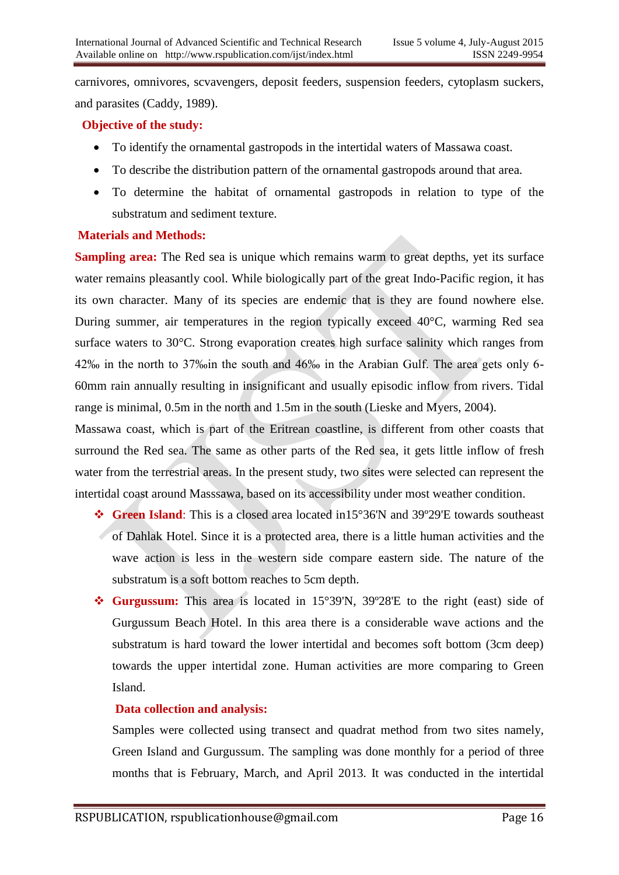carnivores, omnivores, scvavengers, deposit feeders, suspension feeders, cytoplasm suckers, and parasites (Caddy, 1989).

## **Objective of the study:**

- To identify the ornamental gastropods in the intertidal waters of Massawa coast.
- To describe the distribution pattern of the ornamental gastropods around that area.
- To determine the habitat of ornamental gastropods in relation to type of the substratum and sediment texture.

#### **Materials and Methods:**

**Sampling area:** The Red sea is unique which remains warm to great depths, yet its surface water remains pleasantly cool. While biologically part of the great Indo-Pacific region, it has its own character. Many of its species are endemic that is they are found nowhere else. During summer, air temperatures in the region typically exceed 40°C, warming Red sea surface waters to 30°C. Strong evaporation creates high surface salinity which ranges from 42‰ in the north to 37‰in the south and 46‰ in the Arabian Gulf. The area gets only 6- 60mm rain annually resulting in insignificant and usually episodic inflow from rivers. Tidal range is minimal, 0.5m in the north and 1.5m in the south (Lieske and Myers, 2004).

Massawa coast, which is part of the Eritrean coastline, is different from other coasts that surround the Red sea. The same as other parts of the Red sea, it gets little inflow of fresh water from the terrestrial areas. In the present study, two sites were selected can represent the intertidal coast around Masssawa, based on its accessibility under most weather condition.

- **Green Island**: This is a closed area located in15°36'N and 39º29'E towards southeast of Dahlak Hotel. Since it is a protected area, there is a little human activities and the wave action is less in the western side compare eastern side. The nature of the substratum is a soft bottom reaches to 5cm depth.
- **Gurgussum:** This area is located in 15°39'N, 39º28'E to the right (east) side of Gurgussum Beach Hotel. In this area there is a considerable wave actions and the substratum is hard toward the lower intertidal and becomes soft bottom (3cm deep) towards the upper intertidal zone. Human activities are more comparing to Green Island.

## **Data collection and analysis:**

Samples were collected using transect and quadrat method from two sites namely, Green Island and Gurgussum. The sampling was done monthly for a period of three months that is February, March, and April 2013. It was conducted in the intertidal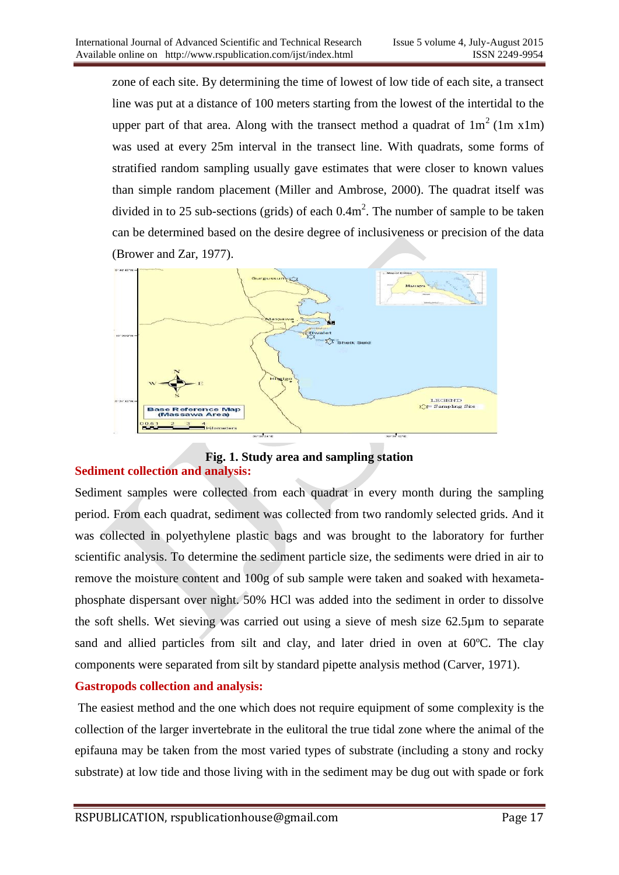zone of each site. By determining the time of lowest of low tide of each site, a transect line was put at a distance of 100 meters starting from the lowest of the intertidal to the upper part of that area. Along with the transect method a quadrat of  $1m^2$  (1m x1m) was used at every 25m interval in the transect line. With quadrats, some forms of stratified random sampling usually gave estimates that were closer to known values than simple random placement (Miller and Ambrose, 2000). The quadrat itself was divided in to 25 sub-sections (grids) of each  $0.4 \text{m}^2$ . The number of sample to be taken can be determined based on the desire degree of inclusiveness or precision of the data (Brower and Zar, 1977).



#### **Fig. 1. Study area and sampling station Sediment collection and analysis:**

Sediment samples were collected from each quadrat in every month during the sampling period. From each quadrat, sediment was collected from two randomly selected grids. And it was collected in polyethylene plastic bags and was brought to the laboratory for further scientific analysis. To determine the sediment particle size, the sediments were dried in air to remove the moisture content and 100g of sub sample were taken and soaked with hexametaphosphate dispersant over night. 50% HCl was added into the sediment in order to dissolve the soft shells. Wet sieving was carried out using a sieve of mesh size 62.5µm to separate sand and allied particles from silt and clay, and later dried in oven at 60ºC. The clay components were separated from silt by standard pipette analysis method (Carver, 1971).

## **Gastropods collection and analysis:**

The easiest method and the one which does not require equipment of some complexity is the collection of the larger invertebrate in the eulitoral the true tidal zone where the animal of the epifauna may be taken from the most varied types of substrate (including a stony and rocky substrate) at low tide and those living with in the sediment may be dug out with spade or fork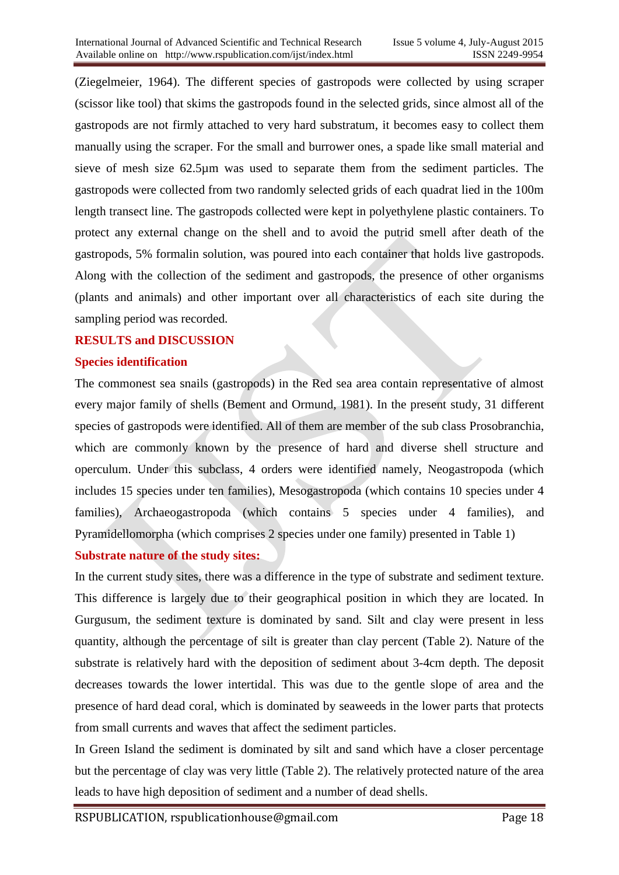(Ziegelmeier, 1964). The different species of gastropods were collected by using scraper (scissor like tool) that skims the gastropods found in the selected grids, since almost all of the gastropods are not firmly attached to very hard substratum, it becomes easy to collect them manually using the scraper. For the small and burrower ones, a spade like small material and sieve of mesh size 62.5µm was used to separate them from the sediment particles. The gastropods were collected from two randomly selected grids of each quadrat lied in the 100m length transect line. The gastropods collected were kept in polyethylene plastic containers. To protect any external change on the shell and to avoid the putrid smell after death of the gastropods, 5% formalin solution, was poured into each container that holds live gastropods. Along with the collection of the sediment and gastropods, the presence of other organisms (plants and animals) and other important over all characteristics of each site during the sampling period was recorded.

#### **RESULTS and DISCUSSION**

#### **Species identification**

The commonest sea snails (gastropods) in the Red sea area contain representative of almost every major family of shells (Bement and Ormund, 1981). In the present study, 31 different species of gastropods were identified. All of them are member of the sub class Prosobranchia, which are commonly known by the presence of hard and diverse shell structure and operculum. Under this subclass, 4 orders were identified namely, Neogastropoda (which includes 15 species under ten families), Mesogastropoda (which contains 10 species under 4 families), Archaeogastropoda (which contains 5 species under 4 families), and Pyramidellomorpha (which comprises 2 species under one family) presented in Table 1)

## **Substrate nature of the study sites:**

In the current study sites, there was a difference in the type of substrate and sediment texture. This difference is largely due to their geographical position in which they are located. In Gurgusum, the sediment texture is dominated by sand. Silt and clay were present in less quantity, although the percentage of silt is greater than clay percent (Table 2). Nature of the substrate is relatively hard with the deposition of sediment about 3-4cm depth. The deposit decreases towards the lower intertidal. This was due to the gentle slope of area and the presence of hard dead coral, which is dominated by seaweeds in the lower parts that protects from small currents and waves that affect the sediment particles.

In Green Island the sediment is dominated by silt and sand which have a closer percentage but the percentage of clay was very little (Table 2). The relatively protected nature of the area leads to have high deposition of sediment and a number of dead shells.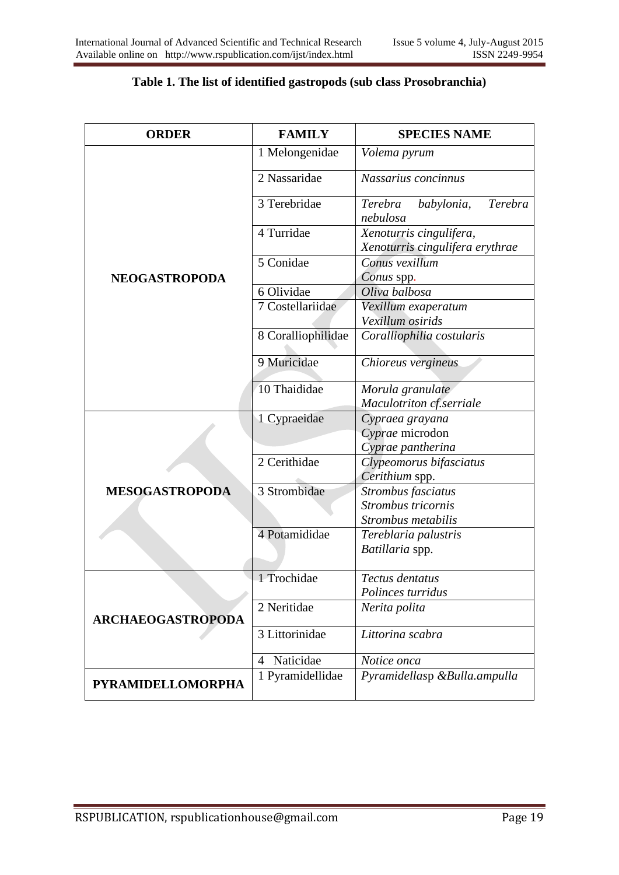| <b>ORDER</b>             | <b>FAMILY</b>      | <b>SPECIES NAME</b>                                        |  |  |  |
|--------------------------|--------------------|------------------------------------------------------------|--|--|--|
|                          | 1 Melongenidae     | Volema pyrum                                               |  |  |  |
|                          | 2 Nassaridae       | Nassarius concinnus                                        |  |  |  |
|                          | 3 Terebridae       | Terebra<br>Terebra<br>babylonia,<br>nebulosa               |  |  |  |
|                          | 4 Turridae         | Xenoturris cingulifera,<br>Xenoturris cingulifera erythrae |  |  |  |
| <b>NEOGASTROPODA</b>     | 5 Conidae          | Conus vexillum<br>Conus spp.                               |  |  |  |
|                          | 6 Olividae         | Oliva balbosa                                              |  |  |  |
|                          | 7 Costellariidae   | Vexillum exaperatum                                        |  |  |  |
|                          |                    | Vexillum osirids                                           |  |  |  |
|                          | 8 Coralliophilidae | Coralliophilia costularis                                  |  |  |  |
|                          | 9 Muricidae        | Chioreus vergineus                                         |  |  |  |
|                          | 10 Thaididae       | Morula granulate                                           |  |  |  |
|                          |                    | Maculotriton cf.serriale                                   |  |  |  |
|                          | 1 Cypraeidae       | Cypraea grayana                                            |  |  |  |
|                          |                    | Cyprae microdon<br>Cyprae pantherina                       |  |  |  |
|                          | 2 Cerithidae       | Clypeomorus bifasciatus                                    |  |  |  |
|                          |                    | Cerithium spp.                                             |  |  |  |
| <b>MESOGASTROPODA</b>    | 3 Strombidae       | Strombus fasciatus                                         |  |  |  |
|                          |                    | Strombus tricornis                                         |  |  |  |
|                          |                    | Strombus metabilis                                         |  |  |  |
|                          | 4 Potamididae      | Tereblaria palustris                                       |  |  |  |
|                          |                    | Batillaria spp.                                            |  |  |  |
|                          | 1 Trochidae        | Tectus dentatus                                            |  |  |  |
|                          |                    | Polinces turridus                                          |  |  |  |
| <b>ARCHAEOGASTROPODA</b> | 2 Neritidae        | Nerita polita                                              |  |  |  |
|                          | 3 Littorinidae     | Littorina scabra                                           |  |  |  |
|                          | Naticidae<br>4     | Notice onca                                                |  |  |  |
| <b>PYRAMIDELLOMORPHA</b> | 1 Pyramidellidae   | Pyramidellasp &Bulla.ampulla                               |  |  |  |

#### **Table 1. The list of identified gastropods (sub class Prosobranchia)**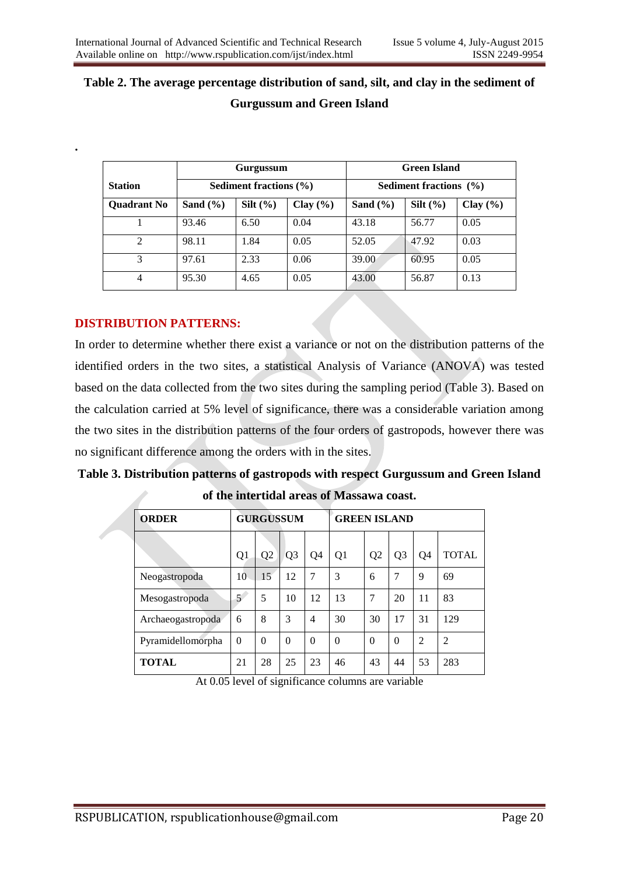# **Table 2. The average percentage distribution of sand, silt, and clay in the sediment of Gurgussum and Green Island**

|                    | Gurgussum                  |              |              | <b>Green Island</b> |                            |              |  |
|--------------------|----------------------------|--------------|--------------|---------------------|----------------------------|--------------|--|
| <b>Station</b>     | Sediment fractions $(\% )$ |              |              |                     | Sediment fractions $(\% )$ |              |  |
| <b>Ouadrant No</b> | Sand $(\% )$               | Silt $(\% )$ | Clay $(\% )$ | Sand $(\% )$        | $Silt (\%)$                | Clay $(\% )$ |  |
|                    | 93.46                      | 6.50         | 0.04         | 43.18               | 56.77                      | 0.05         |  |
| 2                  | 98.11                      | 1.84         | 0.05         | 52.05               | 47.92                      | 0.03         |  |
| 3                  | 97.61                      | 2.33         | 0.06         | 39.00               | 60.95                      | 0.05         |  |
| $\overline{4}$     | 95.30                      | 4.65         | 0.05         | 43.00               | 56.87                      | 0.13         |  |

## **DISTRIBUTION PATTERNS:**

**.**

In order to determine whether there exist a variance or not on the distribution patterns of the identified orders in the two sites, a statistical Analysis of Variance (ANOVA) was tested based on the data collected from the two sites during the sampling period (Table 3). Based on the calculation carried at 5% level of significance, there was a considerable variation among the two sites in the distribution patterns of the four orders of gastropods, however there was no significant difference among the orders with in the sites.

| <b>ORDER</b>      | <b>GURGUSSUM</b> |                |                | <b>GREEN ISLAND</b> |                |                |                |                |                |
|-------------------|------------------|----------------|----------------|---------------------|----------------|----------------|----------------|----------------|----------------|
|                   |                  |                |                |                     |                |                |                |                |                |
|                   | Q <sub>1</sub>   | Q <sub>2</sub> | Q <sub>3</sub> | Q4                  | Q <sub>1</sub> | Q <sub>2</sub> | Q <sub>3</sub> | Q4             | <b>TOTAL</b>   |
| Neogastropoda     | 10               | 15             | 12             | 7                   | 3              | 6              | 7              | 9              | 69             |
| Mesogastropoda    | 5                | 5              | 10             | 12                  | 13             | 7              | 20             | 11             | 83             |
| Archaeogastropoda | 6                | 8              | 3              | $\overline{4}$      | 30             | 30             | 17             | 31             | 129            |
| Pyramidellomorpha | $\theta$         | $\theta$       | $\theta$       | $\Omega$            | $\Omega$       | $\theta$       | $\Omega$       | $\overline{2}$ | $\overline{c}$ |
| <b>TOTAL</b>      | 21               | 28             | 25             | 23                  | 46             | 43             | 44             | 53             | 283            |

**of the intertidal areas of Massawa coast.**

**Table 3. Distribution patterns of gastropods with respect Gurgussum and Green Island** 

At 0.05 level of significance columns are variable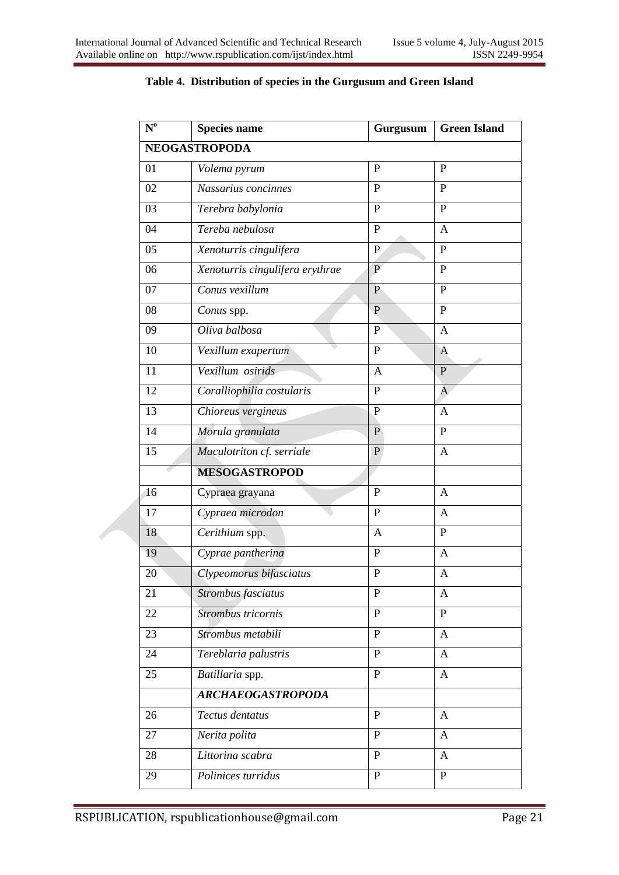| $N^{\mathrm{o}}$ | <b>Species name</b>             | Gurgusum     | <b>Green Island</b> |  |
|------------------|---------------------------------|--------------|---------------------|--|
|                  | <b>NEOGASTROPODA</b>            |              |                     |  |
| 01               | Volema pyrum                    | P            | $\mathbf{P}$        |  |
| 02               | Nassarius concinnes             | $\mathbf{P}$ | P                   |  |
| 03               | Terebra babylonia               | $\mathbf{P}$ | P                   |  |
| 04               | Tereba nebulosa                 | $\mathbf{P}$ | A                   |  |
| 05               | Xenoturris cingulifera          | $\mathbf{P}$ | $\mathbf{P}$        |  |
| 06               | Xenoturris cingulifera erythrae | $\mathbf{P}$ | $\mathbf{P}$        |  |
| 07               | Conus vexillum                  | $\mathbf{P}$ | $\mathbf{P}$        |  |
| 08               | Conus spp.                      | $\mathbf{P}$ | $\mathbf P$         |  |
| 09               | Oliva balbosa                   | P            | A                   |  |
| 10               | Vexillum exapertum              | $\, {\bf P}$ | $\mathbf{A}$        |  |
| 11               | Vexillum osirids                | A            | $\mathbf{P}$        |  |
| 12               | Coralliophilia costularis       | $\mathbf{P}$ | A                   |  |
| 13               | Chioreus vergineus              | $\mathbf{P}$ | $\mathbf{A}$        |  |
| 14               | Morula granulata                | $\mathbf{P}$ | $\mathbf{P}$        |  |
| 15               | Maculotriton cf. serriale       | P            | $\mathbf{A}$        |  |
|                  | <b>MESOGASTROPOD</b>            |              |                     |  |
| 16               | Cypraea grayana                 | P            | $\mathbf{A}$        |  |
| 17               | Cypraea microdon                | $\mathbf P$  | A                   |  |
| 18               | Cerithium spp.                  | A            | P                   |  |
| 19               | Cyprae pantherina               | $\mathbf{P}$ | A                   |  |
| 20               | Clypeomorus bifasciatus         | $\mathbf P$  | $\overline{A}$      |  |
| 21               | Strombus fasciatus              | $\mathbf{P}$ | A                   |  |
| 22               | Strombus tricornis              | $\mathbf{P}$ | $\mathbf{P}$        |  |
| 23               | Strombus metabili               | $\mathbf{P}$ | A                   |  |
| 24               | Tereblaria palustris            | $\mathbf{P}$ | $\mathbf{A}$        |  |
| 25               | Batillaria spp.                 | $\mathbf{P}$ | $\mathbf{A}$        |  |
|                  | <b>ARCHAEOGASTROPODA</b>        |              |                     |  |
| 26               | Tectus dentatus                 | $\mathbf{P}$ | $\mathbf{A}$        |  |
| 27               | Nerita polita                   | $\mathbf{P}$ | A                   |  |
| 28               | Littorina scabra                | $\mathbf{P}$ | A                   |  |
| 29               | Polinices turridus              | $\mathbf{P}$ | $\mathbf{P}$        |  |

## **Table 4. Distribution of species in the Gurgusum and Green Island**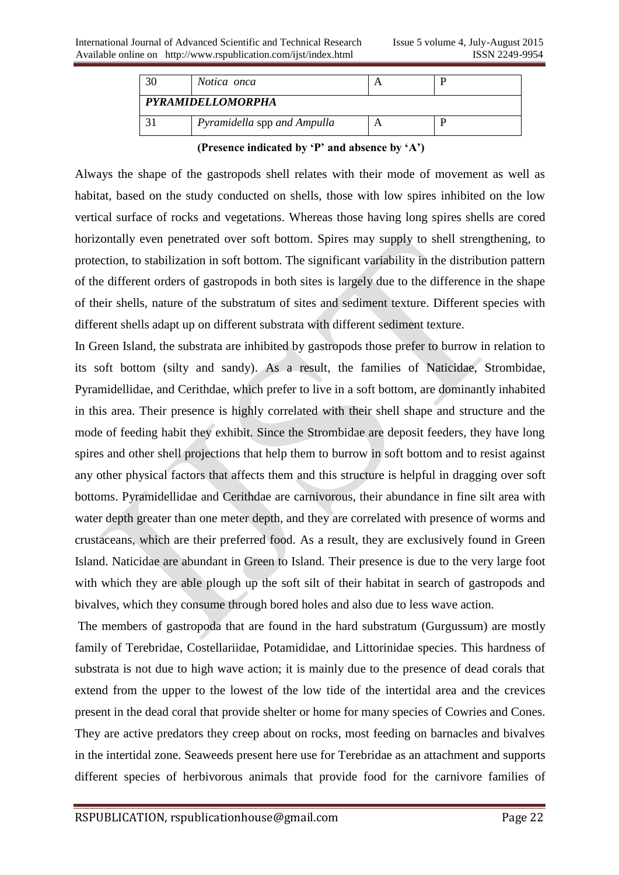| 30                | Notica onca                 |  |  |  |  |  |  |  |  |
|-------------------|-----------------------------|--|--|--|--|--|--|--|--|
| PYRAMIDELLOMORPHA |                             |  |  |  |  |  |  |  |  |
|                   | Pyramidella spp and Ampulla |  |  |  |  |  |  |  |  |

**(Presence indicated by 'P' and absence by 'A')**

Always the shape of the gastropods shell relates with their mode of movement as well as habitat, based on the study conducted on shells, those with low spires inhibited on the low vertical surface of rocks and vegetations. Whereas those having long spires shells are cored horizontally even penetrated over soft bottom. Spires may supply to shell strengthening, to protection, to stabilization in soft bottom. The significant variability in the distribution pattern of the different orders of gastropods in both sites is largely due to the difference in the shape of their shells, nature of the substratum of sites and sediment texture. Different species with different shells adapt up on different substrata with different sediment texture.

In Green Island, the substrata are inhibited by gastropods those prefer to burrow in relation to its soft bottom (silty and sandy). As a result, the families of Naticidae, Strombidae, Pyramidellidae, and Cerithdae, which prefer to live in a soft bottom, are dominantly inhabited in this area. Their presence is highly correlated with their shell shape and structure and the mode of feeding habit they exhibit. Since the Strombidae are deposit feeders, they have long spires and other shell projections that help them to burrow in soft bottom and to resist against any other physical factors that affects them and this structure is helpful in dragging over soft bottoms. Pyramidellidae and Cerithdae are carnivorous, their abundance in fine silt area with water depth greater than one meter depth, and they are correlated with presence of worms and crustaceans, which are their preferred food. As a result, they are exclusively found in Green Island. Naticidae are abundant in Green to Island. Their presence is due to the very large foot with which they are able plough up the soft silt of their habitat in search of gastropods and bivalves, which they consume through bored holes and also due to less wave action.

The members of gastropoda that are found in the hard substratum (Gurgussum) are mostly family of Terebridae, Costellariidae, Potamididae, and Littorinidae species. This hardness of substrata is not due to high wave action; it is mainly due to the presence of dead corals that extend from the upper to the lowest of the low tide of the intertidal area and the crevices present in the dead coral that provide shelter or home for many species of Cowries and Cones. They are active predators they creep about on rocks, most feeding on barnacles and bivalves in the intertidal zone. Seaweeds present here use for Terebridae as an attachment and supports different species of herbivorous animals that provide food for the carnivore families of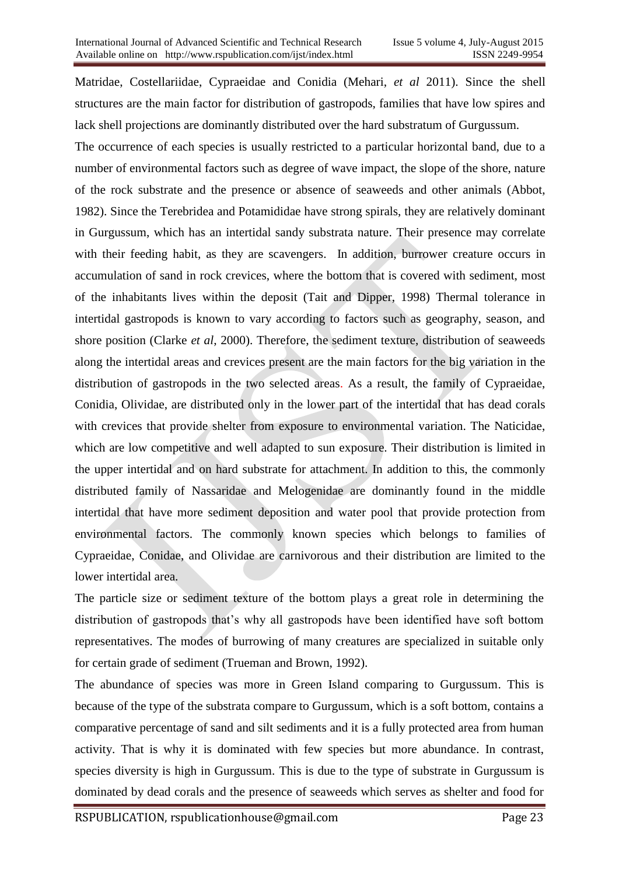Matridae, Costellariidae, Cypraeidae and Conidia (Mehari, *et al* 2011). Since the shell structures are the main factor for distribution of gastropods, families that have low spires and lack shell projections are dominantly distributed over the hard substratum of Gurgussum.

The occurrence of each species is usually restricted to a particular horizontal band, due to a number of environmental factors such as degree of wave impact, the slope of the shore, nature of the rock substrate and the presence or absence of seaweeds and other animals (Abbot, 1982). Since the Terebridea and Potamididae have strong spirals, they are relatively dominant in Gurgussum, which has an intertidal sandy substrata nature. Their presence may correlate with their feeding habit, as they are scavengers. In addition, burrower creature occurs in accumulation of sand in rock crevices, where the bottom that is covered with sediment, most of the inhabitants lives within the deposit (Tait and Dipper, 1998) Thermal tolerance in intertidal gastropods is known to vary according to factors such as geography, season, and shore position (Clarke *et al*, 2000). Therefore, the sediment texture, distribution of seaweeds along the intertidal areas and crevices present are the main factors for the big variation in the distribution of gastropods in the two selected areas. As a result, the family of Cypraeidae, Conidia, Olividae, are distributed only in the lower part of the intertidal that has dead corals with crevices that provide shelter from exposure to environmental variation. The Naticidae, which are low competitive and well adapted to sun exposure. Their distribution is limited in the upper intertidal and on hard substrate for attachment. In addition to this, the commonly distributed family of Nassaridae and Melogenidae are dominantly found in the middle intertidal that have more sediment deposition and water pool that provide protection from environmental factors. The commonly known species which belongs to families of Cypraeidae, Conidae, and Olividae are carnivorous and their distribution are limited to the lower intertidal area.

The particle size or sediment texture of the bottom plays a great role in determining the distribution of gastropods that's why all gastropods have been identified have soft bottom representatives. The modes of burrowing of many creatures are specialized in suitable only for certain grade of sediment (Trueman and Brown, 1992).

The abundance of species was more in Green Island comparing to Gurgussum. This is because of the type of the substrata compare to Gurgussum, which is a soft bottom, contains a comparative percentage of sand and silt sediments and it is a fully protected area from human activity. That is why it is dominated with few species but more abundance. In contrast, species diversity is high in Gurgussum. This is due to the type of substrate in Gurgussum is dominated by dead corals and the presence of seaweeds which serves as shelter and food for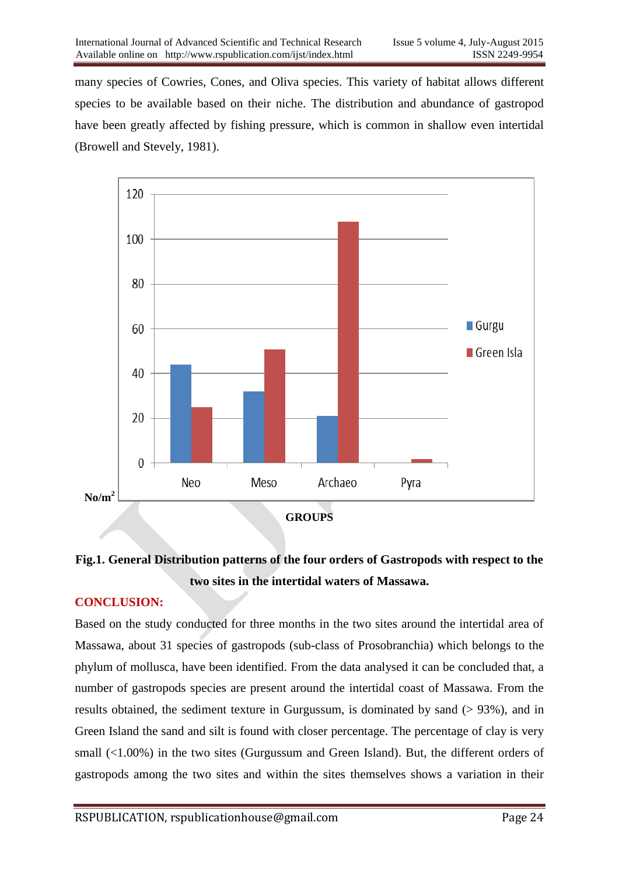many species of Cowries, Cones, and Oliva species. This variety of habitat allows different species to be available based on their niche. The distribution and abundance of gastropod have been greatly affected by fishing pressure, which is common in shallow even intertidal (Browell and Stevely, 1981).



# **Fig.1. General Distribution patterns of the four orders of Gastropods with respect to the two sites in the intertidal waters of Massawa.**

## **CONCLUSION:**

Based on the study conducted for three months in the two sites around the intertidal area of Massawa, about 31 species of gastropods (sub-class of Prosobranchia) which belongs to the phylum of mollusca, have been identified. From the data analysed it can be concluded that, a number of gastropods species are present around the intertidal coast of Massawa. From the results obtained, the sediment texture in Gurgussum, is dominated by sand (> 93%), and in Green Island the sand and silt is found with closer percentage. The percentage of clay is very small (<1.00%) in the two sites (Gurgussum and Green Island). But, the different orders of gastropods among the two sites and within the sites themselves shows a variation in their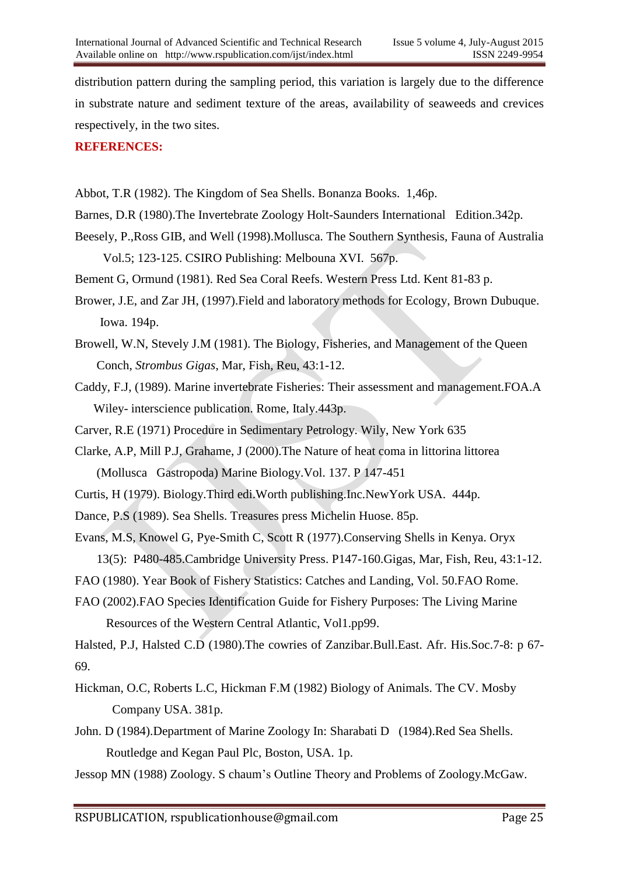distribution pattern during the sampling period, this variation is largely due to the difference in substrate nature and sediment texture of the areas, availability of seaweeds and crevices respectively, in the two sites.

## **REFERENCES:**

- Abbot, T.R (1982). The Kingdom of Sea Shells. Bonanza Books. 1,46p.
- Barnes, D.R (1980).The Invertebrate Zoology Holt-Saunders International Edition.342p.
- Beesely, P.,Ross GIB, and Well (1998).Mollusca. The Southern Synthesis, Fauna of Australia Vol.5; 123-125. CSIRO Publishing: Melbouna XVI. 567p.
- Bement G, Ormund (1981). Red Sea Coral Reefs. Western Press Ltd. Kent 81-83 p.
- Brower, J.E, and Zar JH, (1997).Field and laboratory methods for Ecology, Brown Dubuque. Iowa. 194p.
- Browell, W.N, Stevely J.M (1981). The Biology, Fisheries, and Management of the Queen Conch, *Strombus Gigas*, Mar, Fish, Reu, 43:1-12.
- Caddy, F.J, (1989). Marine invertebrate Fisheries: Their assessment and management.FOA.A Wiley- interscience publication. Rome, Italy.443p.
- Carver, R.E (1971) Procedure in Sedimentary Petrology. Wily, New York 635
- Clarke, A.P, Mill P.J, Grahame, J (2000).The Nature of heat coma in littorina littorea (Mollusca Gastropoda) Marine Biology.Vol. 137. P 147-451
- Curtis, H (1979). Biology.Third edi.Worth publishing.Inc.NewYork USA. 444p.
- Dance, P.S (1989). Sea Shells. Treasures press Michelin Huose. 85p.
- Evans, M.S, Knowel G, Pye-Smith C, Scott R (1977).Conserving Shells in Kenya. Oryx 13(5): P480-485.Cambridge University Press. P147-160.Gigas, Mar, Fish, Reu, 43:1-12.
- FAO (1980). Year Book of Fishery Statistics: Catches and Landing, Vol. 50.FAO Rome.
- FAO (2002).FAO Species Identification Guide for Fishery Purposes: The Living Marine Resources of the Western Central Atlantic, Vol1.pp99.

Halsted, P.J, Halsted C.D (1980).The cowries of Zanzibar.Bull.East. Afr. His.Soc.7-8: p 67- 69.

- Hickman, O.C, Roberts L.C, Hickman F.M (1982) Biology of Animals. The CV. Mosby Company USA. 381p.
- John. D (1984).Department of Marine Zoology In: Sharabati D (1984).Red Sea Shells. Routledge and Kegan Paul Plc, Boston, USA. 1p.
- Jessop MN (1988) Zoology. S chaum's Outline Theory and Problems of Zoology.McGaw.